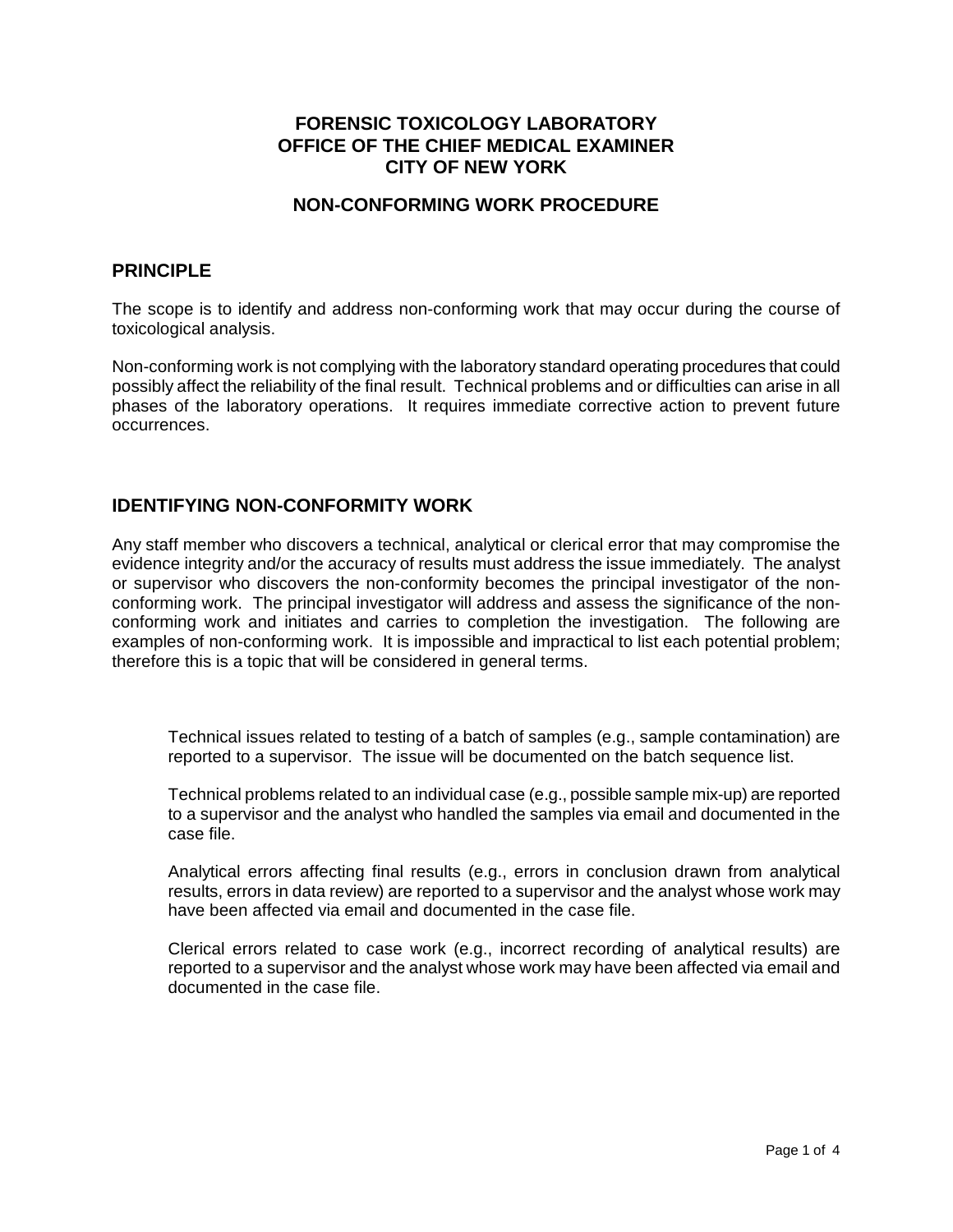# **FORENSIC TOXICOLOGY LABORATORY OFFICE OF THE CHIEF MEDICAL EXAMINER CITY OF NEW YORK**

### **NON-CONFORMING WORK PROCEDURE**

#### **PRINCIPLE**

The scope is to identify and address non-conforming work that may occur during the course of toxicological analysis.

Non-conforming work is not complying with the laboratory standard operating procedures that could possibly affect the reliability of the final result. Technical problems and or difficulties can arise in all phases of the laboratory operations. It requires immediate corrective action to prevent future occurrences.

### **IDENTIFYING NON-CONFORMITY WORK**

Any staff member who discovers a technical, analytical or clerical error that may compromise the evidence integrity and/or the accuracy of results must address the issue immediately. The analyst or supervisor who discovers the non-conformity becomes the principal investigator of the nonconforming work. The principal investigator will address and assess the significance of the nonconforming work and initiates and carries to completion the investigation. The following are examples of non-conforming work. It is impossible and impractical to list each potential problem; therefore this is a topic that will be considered in general terms.

Technical issues related to testing of a batch of samples (e.g., sample contamination) are reported to a supervisor. The issue will be documented on the batch sequence list.

Technical problems related to an individual case (e.g., possible sample mix-up) are reported to a supervisor and the analyst who handled the samples via email and documented in the case file.

Analytical errors affecting final results (e.g., errors in conclusion drawn from analytical results, errors in data review) are reported to a supervisor and the analyst whose work may have been affected via email and documented in the case file.

Clerical errors related to case work (e.g., incorrect recording of analytical results) are reported to a supervisor and the analyst whose work may have been affected via email and documented in the case file.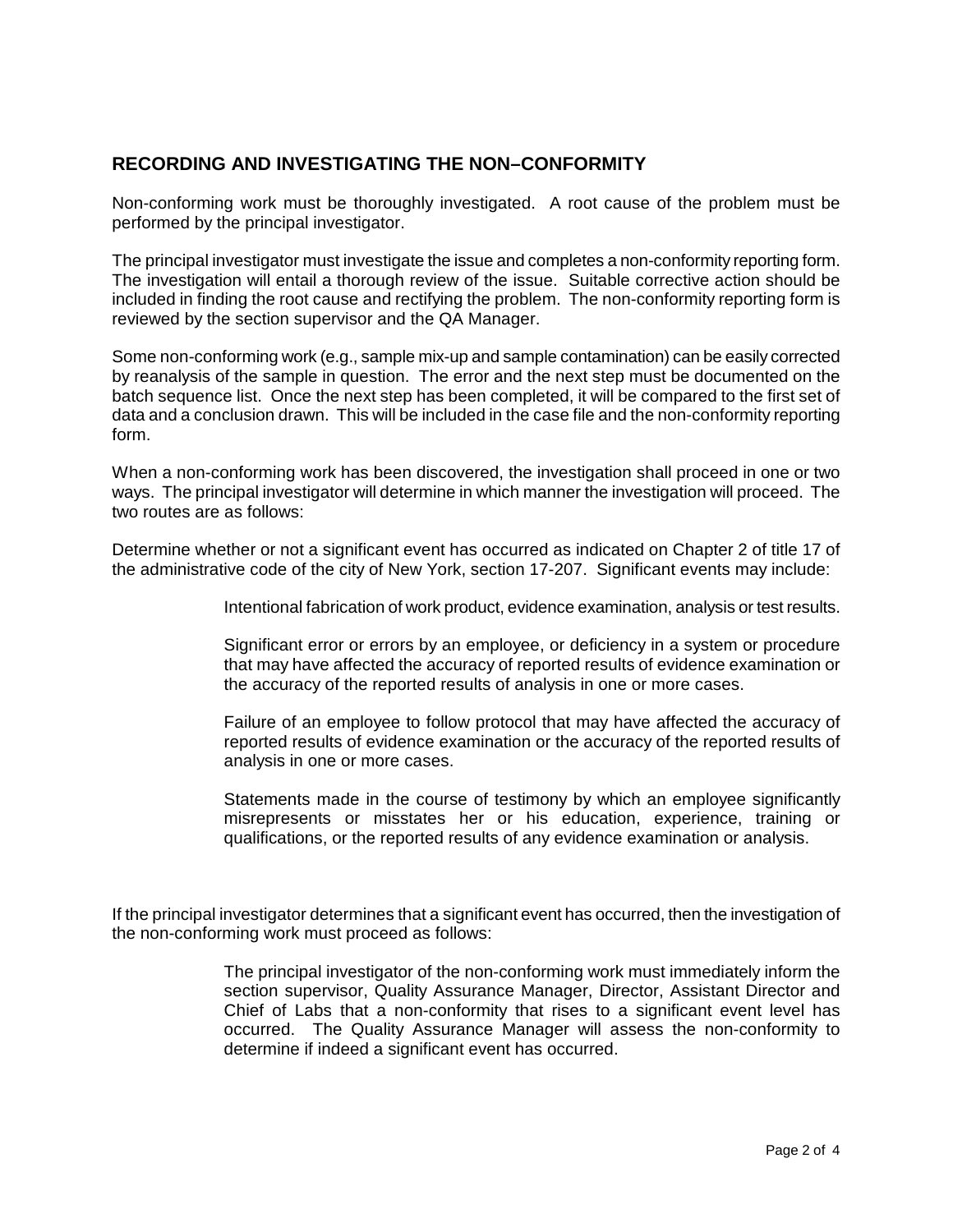# **RECORDING AND INVESTIGATING THE NON–CONFORMITY**

Non-conforming work must be thoroughly investigated. A root cause of the problem must be performed by the principal investigator.

The principal investigator must investigate the issue and completes a non-conformity reporting form. The investigation will entail a thorough review of the issue. Suitable corrective action should be included in finding the root cause and rectifying the problem. The non-conformity reporting form is reviewed by the section supervisor and the QA Manager.

Some non-conforming work (e.g., sample mix-up and sample contamination) can be easily corrected by reanalysis of the sample in question. The error and the next step must be documented on the batch sequence list. Once the next step has been completed, it will be compared to the first set of data and a conclusion drawn. This will be included in the case file and the non-conformity reporting form.

When a non-conforming work has been discovered, the investigation shall proceed in one or two ways. The principal investigator will determine in which manner the investigation will proceed. The two routes are as follows:

Determine whether or not a significant event has occurred as indicated on Chapter 2 of title 17 of the administrative code of the city of New York, section 17-207. Significant events may include:

Intentional fabrication of work product, evidence examination, analysis or test results.

Significant error or errors by an employee, or deficiency in a system or procedure that may have affected the accuracy of reported results of evidence examination or the accuracy of the reported results of analysis in one or more cases.

Failure of an employee to follow protocol that may have affected the accuracy of reported results of evidence examination or the accuracy of the reported results of analysis in one or more cases.

Statements made in the course of testimony by which an employee significantly misrepresents or misstates her or his education, experience, training or qualifications, or the reported results of any evidence examination or analysis.

If the principal investigator determines that a significant event has occurred, then the investigation of the non-conforming work must proceed as follows:

> The principal investigator of the non-conforming work must immediately inform the section supervisor, Quality Assurance Manager, Director, Assistant Director and Chief of Labs that a non-conformity that rises to a significant event level has occurred. The Quality Assurance Manager will assess the non-conformity to determine if indeed a significant event has occurred.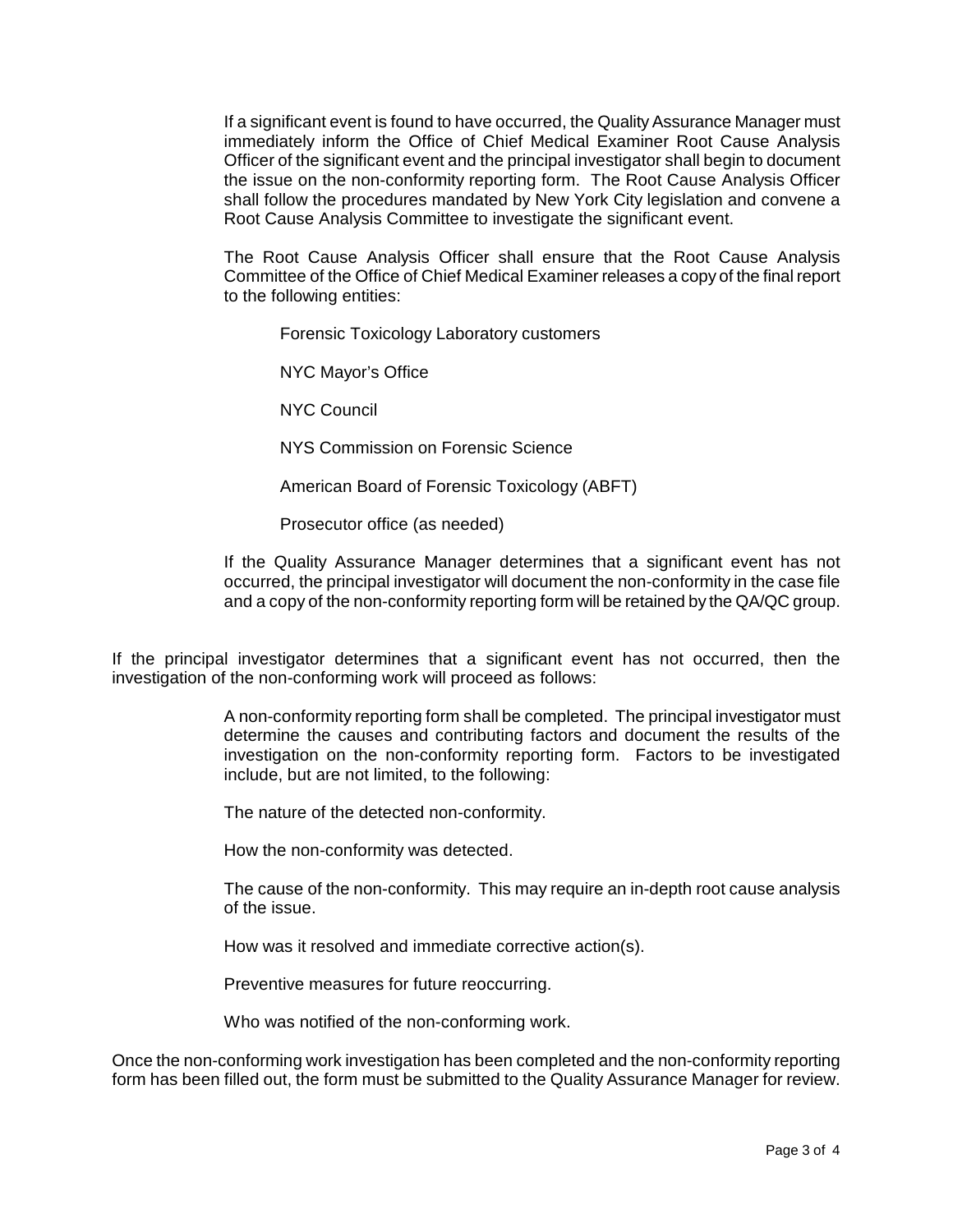If a significant event is found to have occurred, the Quality Assurance Manager must immediately inform the Office of Chief Medical Examiner Root Cause Analysis Officer of the significant event and the principal investigator shall begin to document the issue on the non-conformity reporting form. The Root Cause Analysis Officer shall follow the procedures mandated by New York City legislation and convene a Root Cause Analysis Committee to investigate the significant event.

The Root Cause Analysis Officer shall ensure that the Root Cause Analysis Committee of the Office of Chief Medical Examiner releases a copy of the final report to the following entities:

Forensic Toxicology Laboratory customers

NYC Mayor's Office

NYC Council

NYS Commission on Forensic Science

American Board of Forensic Toxicology (ABFT)

Prosecutor office (as needed)

If the Quality Assurance Manager determines that a significant event has not occurred, the principal investigator will document the non-conformity in the case file and a copy of the non-conformity reporting form will be retained by the QA/QC group.

If the principal investigator determines that a significant event has not occurred, then the investigation of the non-conforming work will proceed as follows:

> A non-conformity reporting form shall be completed. The principal investigator must determine the causes and contributing factors and document the results of the investigation on the non-conformity reporting form. Factors to be investigated include, but are not limited, to the following:

The nature of the detected non-conformity.

How the non-conformity was detected.

The cause of the non-conformity. This may require an in-depth root cause analysis of the issue.

How was it resolved and immediate corrective action(s).

Preventive measures for future reoccurring.

Who was notified of the non-conforming work.

Once the non-conforming work investigation has been completed and the non-conformity reporting form has been filled out, the form must be submitted to the Quality Assurance Manager for review.